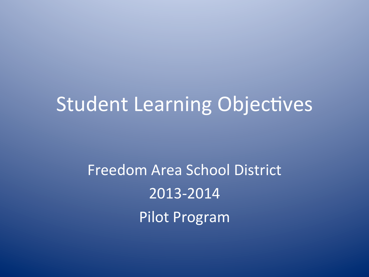# **Student Learning Objectives**

Freedom Area School District 2013-2014 Pilot Program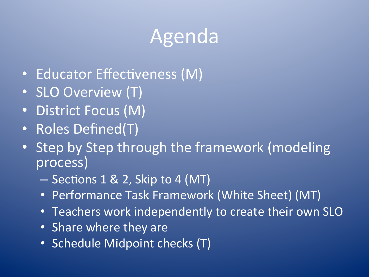# Agenda

- Educator Effectiveness (M)
- SLO Overview (T)
- District Focus (M)
- Roles Defined(T)
- Step by Step through the framework (modeling process)
	- Sections 1 & 2, Skip to 4 (MT)
	- Performance Task Framework (White Sheet) (MT)
	- Teachers work independently to create their own SLO
	- Share where they are
	- Schedule Midpoint checks (T)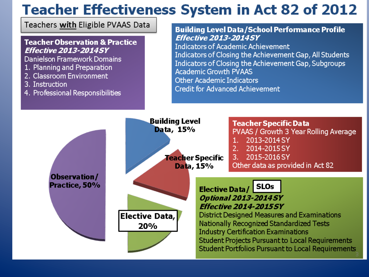### **Teacher Effectiveness System in Act 82 of 2012**

Teachers with Eligible PVAAS Data

#### **Teacher Observation & Practice Effective 2013-2014SY**

Danielson Framework Domains

- 1. Planning and Preparation
- 2. Classroom Environment
- 3. Instruction
- 4. Professional Responsibilities

#### **Building Level Data/School Performance Profile Effective 2013-20145Y**

**Indicators of Academic Achievement** Indicators of Closing the Achievement Gap, All Students Indicators of Closing the Achievement Gap, Subgroups **Academic Growth PVAAS Other Academic Indicators** Credit for Advanced Achievement

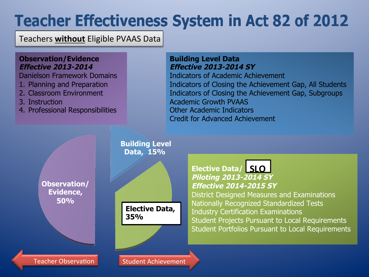## **Teacher Effectiveness System in Act 82 of 2012**

Teachers **without** Eligible PVAAS Data

#### **Observation/Evidence Effective 2013-2014**

Danielson Framework Domains

- 1. Planning and Preparation
- 2. Classroom Environment
- 3. Instruction
- 4. Professional Responsibilities

#### **Building Level Data Effective 2013-2014 SY**

Indicators of Academic Achievement Indicators of Closing the Achievement Gap, All Students Indicators of Closing the Achievement Gap, Subgroups Academic Growth PVAAS Other Academic Indicators Credit for Advanced Achievement

**Observation/ Evidence, 50%** 

**Teacher Observation** 

 **Building Level Data, 15%** 

**Elective Data, 35%** 

#### **Elective Data/ SLO Piloting 2013-2014 SY Effective 2014-2015 SY**

District Designed Measures and Examinations Nationally Recognized Standardized Tests Industry Certification Examinations Student Projects Pursuant to Local Requirements Student Portfolios Pursuant to Local Requirements

**Student Achievement**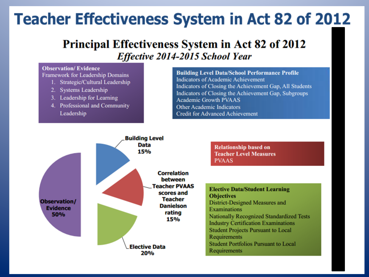## **Teacher Effectiveness System in Act 82 of 2012**

#### **Principal Effectiveness System in Act 82 of 2012** Effective 2014-2015 School Year

#### **Observation/Evidence**

**Framework for Leadership Domains** 

- 1. Strategic/Cultural Leadership
- 2. Systems Leadership
- 3. Leadership for Learning
- 4. Professional and Community Leadership

**Building Level Data/School Performance Profile Indicators of Academic Achievement** Indicators of Closing the Achievement Gap, All Students Indicators of Closing the Achievement Gap, Subgroups **Academic Growth PVAAS Other Academic Indicators Credit for Advanced Achievement** 



**Teacher Level Measures** 

**Elective Data/Student Learning District-Designed Measures and Nationally Recognized Standardized Tests Industry Certification Examinations Student Projects Pursuant to Local Student Portfolios Pursuant to Local**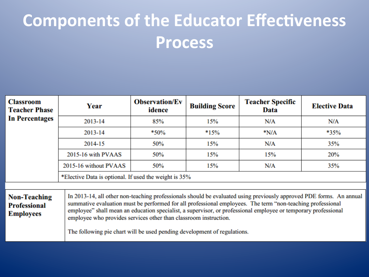## **Components of the Educator Effectiveness Process**

| <b>Classroom</b><br><b>Teacher Phase</b><br><b>In Percentages</b> | Year                                                                                                                                                                                                                                                                                                                                                                                                                                                                                                | <b>Observation/Ev</b><br>idence | <b>Building Score</b> | <b>Teacher Specific</b><br>Data | <b>Elective Data</b> |
|-------------------------------------------------------------------|-----------------------------------------------------------------------------------------------------------------------------------------------------------------------------------------------------------------------------------------------------------------------------------------------------------------------------------------------------------------------------------------------------------------------------------------------------------------------------------------------------|---------------------------------|-----------------------|---------------------------------|----------------------|
|                                                                   | 2013-14                                                                                                                                                                                                                                                                                                                                                                                                                                                                                             | 85%                             | 15%                   | N/A                             | N/A                  |
|                                                                   | 2013-14                                                                                                                                                                                                                                                                                                                                                                                                                                                                                             | *50%                            | $*15%$                | $*N/A$                          | *35%                 |
|                                                                   | 2014-15                                                                                                                                                                                                                                                                                                                                                                                                                                                                                             | 50%                             | 15%                   | N/A                             | 35%                  |
|                                                                   | 2015-16 with PVAAS                                                                                                                                                                                                                                                                                                                                                                                                                                                                                  | 50%                             | 15%                   | 15%                             | 20%                  |
|                                                                   | 2015-16 without PVAAS                                                                                                                                                                                                                                                                                                                                                                                                                                                                               | 50%                             | 15%                   | N/A                             | 35%                  |
|                                                                   | *Elective Data is optional. If used the weight is 35%                                                                                                                                                                                                                                                                                                                                                                                                                                               |                                 |                       |                                 |                      |
|                                                                   |                                                                                                                                                                                                                                                                                                                                                                                                                                                                                                     |                                 |                       |                                 |                      |
| <b>Non-Teaching</b><br><b>Professional</b><br><b>Employees</b>    | In 2013-14, all other non-teaching professionals should be evaluated using previously approved PDE forms. An annual<br>summative evaluation must be performed for all professional employees. The term "non-teaching professional<br>employee" shall mean an education specialist, a supervisor, or professional employee or temporary professional<br>employee who provides services other than classroom instruction.<br>The following pie chart will be used pending development of regulations. |                                 |                       |                                 |                      |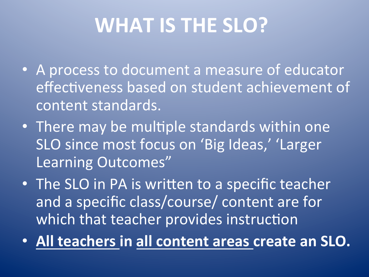# **WHAT IS THE SLO?**

- A process to document a measure of educator effectiveness based on student achievement of content standards.
- There may be multiple standards within one SLO since most focus on 'Big Ideas,' 'Larger Learning Outcomes"
- The SLO in PA is written to a specific teacher and a specific class/course/ content are for which that teacher provides instruction
- All teachers in all content areas create an SLO.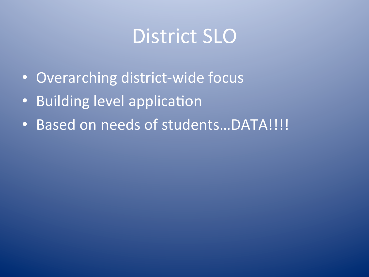# District SLO

- Overarching district-wide focus
- Building level application
- Based on needs of students...DATA!!!!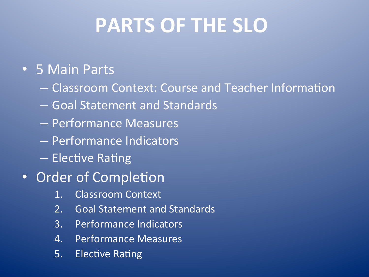# **PARTS OF THE SLO**

### **• 5 Main Parts**

- Classroom Context: Course and Teacher Informa1on
- Goal Statement and Standards
- Performance Measures
- Performance Indicators
- $-$  Elective Rating
- Order of Completion
	- 1. Classroom Context
	- 2. Goal Statement and Standards
	- 3. Performance Indicators
	- 4. Performance Measures
	- 5. Elective Rating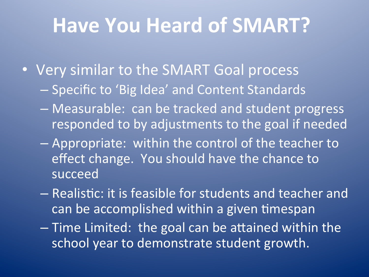# Have You Heard of SMART?

- Very similar to the SMART Goal process
	- Specific to 'Big Idea' and Content Standards
	- $-$  Measurable: can be tracked and student progress responded to by adjustments to the goal if needed
	- $-$  Appropriate: within the control of the teacher to effect change. You should have the chance to succeed
	- $-$  Realistic: it is feasible for students and teacher and can be accomplished within a given timespan
	- $-$  Time Limited: the goal can be attained within the school year to demonstrate student growth.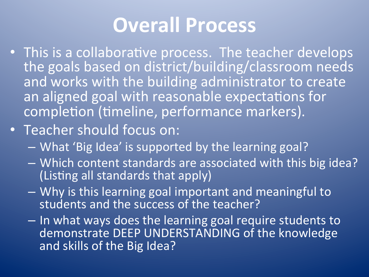# **Overall Process**

- This is a collaborative process. The teacher develops the goals based on district/building/classroom needs and works with the building administrator to create an aligned goal with reasonable expectations for completion (timeline, performance markers).
- Teacher should focus on:
	- What 'Big Idea' is supported by the learning goal?
	- Which content standards are associated with this big idea? (Listing all standards that apply)
	- Why is this learning goal important and meaningful to students and the success of the teacher?
	- In what ways does the learning goal require students to demonstrate DEEP UNDERSTANDING of the knowledge and skills of the Big Idea?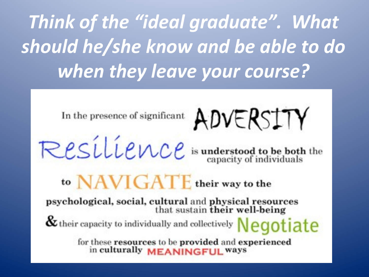Think of the "ideal graduate". What should he/she know and be able to do when they leave your course?

In the presence of significant ADVERSITY

Resilience is understood to be both the

## to NAVIGATE their way to the

psychological, social, cultural and physical resources<br>that sustain their well-being

 $\alpha$  their capacity to individually and collectively  $Neatete$ 

for these resources to be provided and experienced in culturally MEANINGFUL ways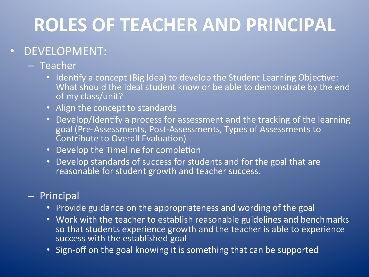# **ROLES OF TEACHER AND PRINCIPAL**

### • DEVELOPMENT:

#### – Teacher

- Identify a concept (Big Idea) to develop the Student Learning Objective: What should the ideal student know or be able to demonstrate by the end of my class/unit?
- Align the concept to standards
- Develop/Identify a process for assessment and the tracking of the learning goal (Pre-Assessments, Post-Assessments, Types of Assessments to Contribute to Overall Evaluation)
- Develop the Timeline for completion
- Develop standards of success for students and for the goal that are reasonable for student growth and teacher success.

#### – Principal

- Provide guidance on the appropriateness and wording of the goal
- Work with the teacher to establish reasonable guidelines and benchmarks so that students experience growth and the teacher is able to experience success with the established goal
- Sign-off on the goal knowing it is something that can be supported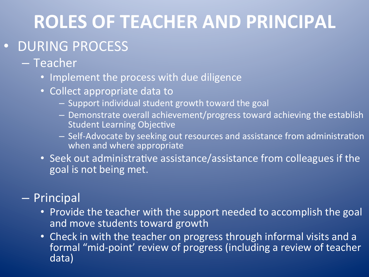## **ROLES OF TEACHER AND PRINCIPAL**

### · DURING PROCESS

#### – Teacher

- Implement the process with due diligence
- Collect appropriate data to
	- Support individual student growth toward the goal
	- Demonstrate overall achievement/progress toward achieving the establish **Student Learning Objective**
	- $-$  Self-Advocate by seeking out resources and assistance from administration when and where appropriate
- Seek out administrative assistance/assistance from colleagues if the goal is not being met.

#### – Principal

- Provide the teacher with the support needed to accomplish the goal and move students toward growth
- Check in with the teacher on progress through informal visits and a formal "mid-point' review of progress (including a review of teacher data)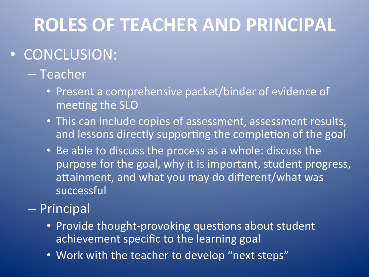## **ROLES OF TEACHER AND PRINCIPAL**

### • CONCLUSION:

### – Teacher

- Present a comprehensive packet/binder of evidence of meeting the SLO
- This can include copies of assessment, assessment results, and lessons directly supporting the completion of the goal
- Be able to discuss the process as a whole: discuss the purpose for the goal, why it is important, student progress, attainment, and what you may do different/what was successful

### – Principal

- Provide thought-provoking questions about student achievement specific to the learning goal
- Work with the teacher to develop "next steps"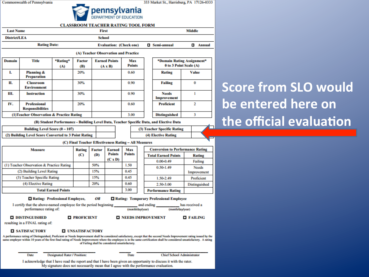Commonwealth of Pennsylvania

333 Market St., Harrisburg, PA 17126-0333

Е



**CLASSROOM TEACHER RATING TOOL FORM** 

#### **Last Name Middle First District/LEA School Rating Date: Evaluation: (Check one) Q** Semi-annual **D** Annual (A) Teacher Observation and Practice **Domain Title** \*Rating\* **Factor Earned Points** Max \*Domain Rating Assignment\* **Points** 0 to 3 Point Scale (A) (A) (B)  $(A \times B)$ I. **Planning &** 20% 0.60 **Rating Value Preparation** П. 30% 0.90  $\bf{0}$ **Classroom Failing Environment** Ш. **Instruction** 0.90  $\mathbf{I}$ 30% **Needs Improvement** IV.  $\overline{2}$ **Professional** 20% 0.60 **Proficient Responsibilities** (1) Teacher Observation & Practice Rating 3.00 3 **Distinguished** (B) Student Performance - Building Level Data, Teacher Specific Data, and Elective Data Building Level Score (0-107) (3) Teacher Specific Rating (2) Building Level Score Converted to 3 Point Rating (4) Elective Rating (C) Final Teacher Effectiveness Rating - All Measures **Measure** Rating **Earned** Max **Conversion to Performance Rating Factor Points Points** (C) (D) **Total Earned Points Rating**  $(C x D)$  $0.00 - 0.49$ Failing 1.50 (1) Teacher Observation & Practice Rating 50% 0.50-1.49 **Needs** (2) Building Level Rating 15% 0.45 Improvement (3) Teacher Specific Rating 15% 0.45 1.50-2.49 Proficient (4) Elective Rating 20% 0.60 2.50-3.00 **Distinguished** 3.00 **Total Earned Points Performance Rating** Rating: Professional Employee, Rating: Temporary Professional Employee OR I certify that the above-named employee for the period beginning and ending has received a performance rating of: (month/day/year) (month/day/year) **O DISTINGUISHED O PROFICIENT TENEDS IMPROVEMENT O FAILING** resulting in a FINAL rating of: **O SATISFACTORY O UNSATISFACTORY** A performance rating of Distinguished, Proficient or Needs Improvement shall be considered satisfactory, except that the second Needs Improvement rating issued by the same employer within 10 years of the first final rating of Needs Improvement where the employee is in the same certification shall be considered unsatisfactory. A rating of Failing shall be considered unsatisfactory. Date Designated Rater / Position: Date **Chief School Administrator** I acknowledge that I have read the report and that I have been given an opportunity to discuss it with the rater. My signature does not necessarily mean that I agree with the performance evaluation.

### **Score from SLO would be entered here on the official evaluation**